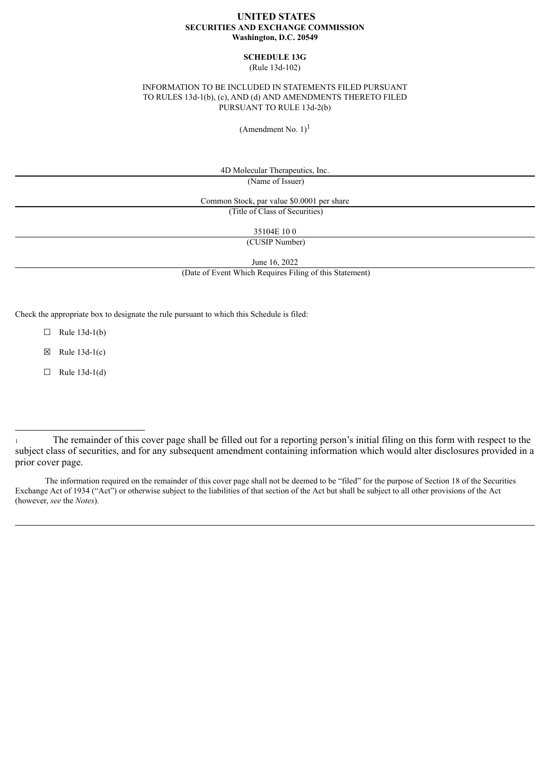### **UNITED STATES SECURITIES AND EXCHANGE COMMISSION Washington, D.C. 20549**

# **SCHEDULE 13G**

(Rule 13d-102)

## INFORMATION TO BE INCLUDED IN STATEMENTS FILED PURSUANT TO RULES 13d-1(b), (c), AND (d) AND AMENDMENTS THERETO FILED PURSUANT TO RULE 13d-2(b)

(Amendment No.  $1$ )<sup>1</sup>

4D Molecular Therapeutics, Inc.

(Name of Issuer)

Common Stock, par value \$0.0001 per share (Title of Class of Securities)

35104E 10 0

(CUSIP Number)

June 16, 2022

(Date of Event Which Requires Filing of this Statement)

Check the appropriate box to designate the rule pursuant to which this Schedule is filed:

 $\Box$  Rule 13d-1(b)

 $\boxtimes$  Rule 13d-1(c)

 $\Box$  Rule 13d-1(d)

The information required on the remainder of this cover page shall not be deemed to be "filed" for the purpose of Section 18 of the Securities Exchange Act of 1934 ("Act") or otherwise subject to the liabilities of that section of the Act but shall be subject to all other provisions of the Act (however, *see* the *Notes*).

<sup>1</sup> The remainder of this cover page shall be filled out for a reporting person's initial filing on this form with respect to the subject class of securities, and for any subsequent amendment containing information which would alter disclosures provided in a prior cover page.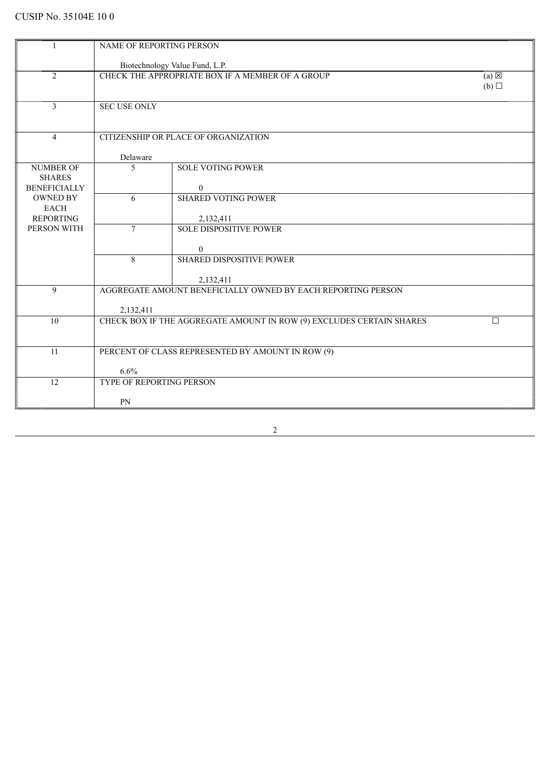| 1                                 | NAME OF REPORTING PERSON |                                                                      |                 |  |
|-----------------------------------|--------------------------|----------------------------------------------------------------------|-----------------|--|
|                                   |                          | Biotechnology Value Fund, L.P.                                       |                 |  |
| $\overline{2}$                    |                          | CHECK THE APPROPRIATE BOX IF A MEMBER OF A GROUP                     | $(a) \boxtimes$ |  |
|                                   |                          |                                                                      | (b)             |  |
|                                   |                          |                                                                      |                 |  |
| $\overline{3}$                    | <b>SEC USE ONLY</b>      |                                                                      |                 |  |
|                                   |                          |                                                                      |                 |  |
| $\overline{4}$                    |                          | CITIZENSHIP OR PLACE OF ORGANIZATION                                 |                 |  |
|                                   |                          |                                                                      |                 |  |
|                                   | Delaware                 |                                                                      |                 |  |
| <b>NUMBER OF</b><br><b>SHARES</b> | 5                        | <b>SOLE VOTING POWER</b>                                             |                 |  |
| <b>BENEFICIALLY</b>               |                          | $\overline{0}$                                                       |                 |  |
| <b>OWNED BY</b>                   | 6                        | <b>SHARED VOTING POWER</b>                                           |                 |  |
| <b>EACH</b>                       |                          |                                                                      |                 |  |
| <b>REPORTING</b><br>PERSON WITH   | $\tau$                   | 2,132,411<br><b>SOLE DISPOSITIVE POWER</b>                           |                 |  |
|                                   |                          |                                                                      |                 |  |
|                                   |                          | $\mathbf{0}$                                                         |                 |  |
|                                   | 8                        | <b>SHARED DISPOSITIVE POWER</b>                                      |                 |  |
|                                   |                          | 2,132,411                                                            |                 |  |
| 9                                 |                          | AGGREGATE AMOUNT BENEFICIALLY OWNED BY EACH REPORTING PERSON         |                 |  |
|                                   |                          |                                                                      |                 |  |
| 10                                | 2,132,411                | CHECK BOX IF THE AGGREGATE AMOUNT IN ROW (9) EXCLUDES CERTAIN SHARES | П               |  |
|                                   |                          |                                                                      |                 |  |
|                                   |                          |                                                                      |                 |  |
| 11                                |                          | PERCENT OF CLASS REPRESENTED BY AMOUNT IN ROW (9)                    |                 |  |
|                                   | 6.6%                     |                                                                      |                 |  |
| 12                                | TYPE OF REPORTING PERSON |                                                                      |                 |  |
|                                   |                          |                                                                      |                 |  |
|                                   | PN                       |                                                                      |                 |  |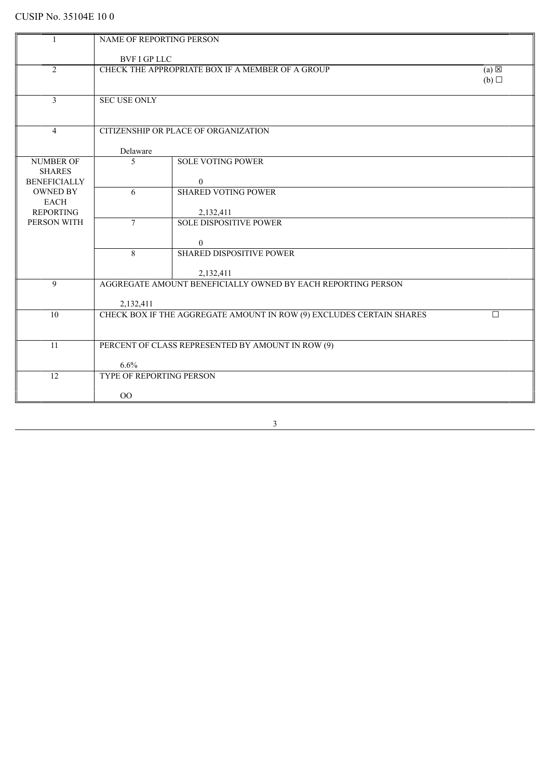| NAME OF REPORTING PERSON<br>1<br><b>BVF I GP LLC</b><br>$\overline{2}$<br>CHECK THE APPROPRIATE BOX IF A MEMBER OF A GROUP<br>$(a) \boxtimes$<br>(b)<br>$\mathfrak{Z}$<br><b>SEC USE ONLY</b><br>$\overline{4}$<br>CITIZENSHIP OR PLACE OF ORGANIZATION<br>Delaware<br><b>SOLE VOTING POWER</b><br><b>NUMBER OF</b><br>5<br><b>SHARES</b><br><b>BENEFICIALLY</b><br>$\overline{0}$<br><b>OWNED BY</b><br><b>SHARED VOTING POWER</b><br>6<br><b>EACH</b><br><b>REPORTING</b><br>2,132,411<br>PERSON WITH<br><b>SOLE DISPOSITIVE POWER</b><br>$\tau$<br>$\overline{0}$<br>8<br><b>SHARED DISPOSITIVE POWER</b><br>2,132,411<br>$\overline{9}$<br>AGGREGATE AMOUNT BENEFICIALLY OWNED BY EACH REPORTING PERSON<br>2,132,411<br>CHECK BOX IF THE AGGREGATE AMOUNT IN ROW (9) EXCLUDES CERTAIN SHARES<br>10<br>$\Box$ |  |  |  |  |
|------------------------------------------------------------------------------------------------------------------------------------------------------------------------------------------------------------------------------------------------------------------------------------------------------------------------------------------------------------------------------------------------------------------------------------------------------------------------------------------------------------------------------------------------------------------------------------------------------------------------------------------------------------------------------------------------------------------------------------------------------------------------------------------------------------------|--|--|--|--|
|                                                                                                                                                                                                                                                                                                                                                                                                                                                                                                                                                                                                                                                                                                                                                                                                                  |  |  |  |  |
|                                                                                                                                                                                                                                                                                                                                                                                                                                                                                                                                                                                                                                                                                                                                                                                                                  |  |  |  |  |
|                                                                                                                                                                                                                                                                                                                                                                                                                                                                                                                                                                                                                                                                                                                                                                                                                  |  |  |  |  |
|                                                                                                                                                                                                                                                                                                                                                                                                                                                                                                                                                                                                                                                                                                                                                                                                                  |  |  |  |  |
|                                                                                                                                                                                                                                                                                                                                                                                                                                                                                                                                                                                                                                                                                                                                                                                                                  |  |  |  |  |
|                                                                                                                                                                                                                                                                                                                                                                                                                                                                                                                                                                                                                                                                                                                                                                                                                  |  |  |  |  |
|                                                                                                                                                                                                                                                                                                                                                                                                                                                                                                                                                                                                                                                                                                                                                                                                                  |  |  |  |  |
|                                                                                                                                                                                                                                                                                                                                                                                                                                                                                                                                                                                                                                                                                                                                                                                                                  |  |  |  |  |
|                                                                                                                                                                                                                                                                                                                                                                                                                                                                                                                                                                                                                                                                                                                                                                                                                  |  |  |  |  |
|                                                                                                                                                                                                                                                                                                                                                                                                                                                                                                                                                                                                                                                                                                                                                                                                                  |  |  |  |  |
|                                                                                                                                                                                                                                                                                                                                                                                                                                                                                                                                                                                                                                                                                                                                                                                                                  |  |  |  |  |
|                                                                                                                                                                                                                                                                                                                                                                                                                                                                                                                                                                                                                                                                                                                                                                                                                  |  |  |  |  |
|                                                                                                                                                                                                                                                                                                                                                                                                                                                                                                                                                                                                                                                                                                                                                                                                                  |  |  |  |  |
|                                                                                                                                                                                                                                                                                                                                                                                                                                                                                                                                                                                                                                                                                                                                                                                                                  |  |  |  |  |
|                                                                                                                                                                                                                                                                                                                                                                                                                                                                                                                                                                                                                                                                                                                                                                                                                  |  |  |  |  |
|                                                                                                                                                                                                                                                                                                                                                                                                                                                                                                                                                                                                                                                                                                                                                                                                                  |  |  |  |  |
|                                                                                                                                                                                                                                                                                                                                                                                                                                                                                                                                                                                                                                                                                                                                                                                                                  |  |  |  |  |
|                                                                                                                                                                                                                                                                                                                                                                                                                                                                                                                                                                                                                                                                                                                                                                                                                  |  |  |  |  |
|                                                                                                                                                                                                                                                                                                                                                                                                                                                                                                                                                                                                                                                                                                                                                                                                                  |  |  |  |  |
|                                                                                                                                                                                                                                                                                                                                                                                                                                                                                                                                                                                                                                                                                                                                                                                                                  |  |  |  |  |
|                                                                                                                                                                                                                                                                                                                                                                                                                                                                                                                                                                                                                                                                                                                                                                                                                  |  |  |  |  |
|                                                                                                                                                                                                                                                                                                                                                                                                                                                                                                                                                                                                                                                                                                                                                                                                                  |  |  |  |  |
|                                                                                                                                                                                                                                                                                                                                                                                                                                                                                                                                                                                                                                                                                                                                                                                                                  |  |  |  |  |
|                                                                                                                                                                                                                                                                                                                                                                                                                                                                                                                                                                                                                                                                                                                                                                                                                  |  |  |  |  |
|                                                                                                                                                                                                                                                                                                                                                                                                                                                                                                                                                                                                                                                                                                                                                                                                                  |  |  |  |  |
|                                                                                                                                                                                                                                                                                                                                                                                                                                                                                                                                                                                                                                                                                                                                                                                                                  |  |  |  |  |
|                                                                                                                                                                                                                                                                                                                                                                                                                                                                                                                                                                                                                                                                                                                                                                                                                  |  |  |  |  |
| 11<br>PERCENT OF CLASS REPRESENTED BY AMOUNT IN ROW (9)                                                                                                                                                                                                                                                                                                                                                                                                                                                                                                                                                                                                                                                                                                                                                          |  |  |  |  |
|                                                                                                                                                                                                                                                                                                                                                                                                                                                                                                                                                                                                                                                                                                                                                                                                                  |  |  |  |  |
| 6.6%                                                                                                                                                                                                                                                                                                                                                                                                                                                                                                                                                                                                                                                                                                                                                                                                             |  |  |  |  |
| 12<br>TYPE OF REPORTING PERSON                                                                                                                                                                                                                                                                                                                                                                                                                                                                                                                                                                                                                                                                                                                                                                                   |  |  |  |  |
|                                                                                                                                                                                                                                                                                                                                                                                                                                                                                                                                                                                                                                                                                                                                                                                                                  |  |  |  |  |
| 00                                                                                                                                                                                                                                                                                                                                                                                                                                                                                                                                                                                                                                                                                                                                                                                                               |  |  |  |  |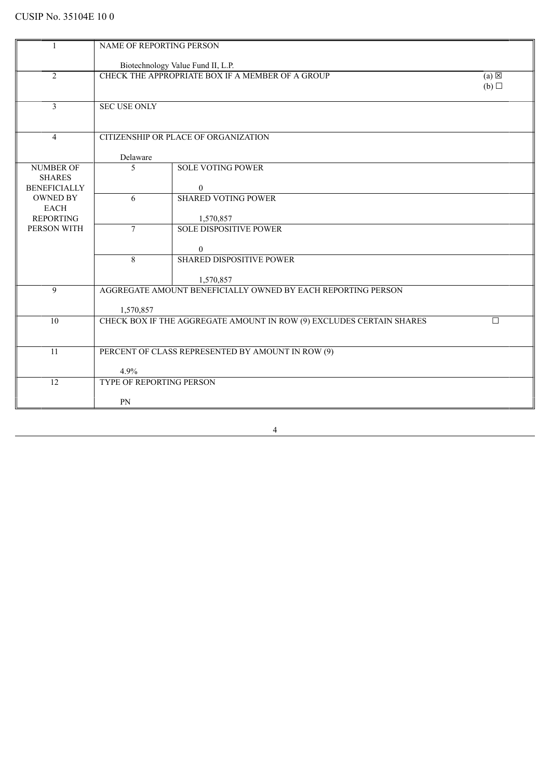| 1                                    | NAME OF REPORTING PERSON                          |                                                                           |                        |  |
|--------------------------------------|---------------------------------------------------|---------------------------------------------------------------------------|------------------------|--|
|                                      |                                                   |                                                                           |                        |  |
|                                      |                                                   | Biotechnology Value Fund II, L.P.                                         |                        |  |
| $\overline{2}$                       |                                                   | CHECK THE APPROPRIATE BOX IF A MEMBER OF A GROUP                          | $(a) \boxtimes$<br>(b) |  |
|                                      |                                                   |                                                                           |                        |  |
| $\overline{3}$                       | <b>SEC USE ONLY</b>                               |                                                                           |                        |  |
|                                      |                                                   |                                                                           |                        |  |
| $\overline{4}$                       |                                                   | CITIZENSHIP OR PLACE OF ORGANIZATION                                      |                        |  |
|                                      |                                                   |                                                                           |                        |  |
|                                      | Delaware                                          |                                                                           |                        |  |
| <b>NUMBER OF</b>                     | 5                                                 | <b>SOLE VOTING POWER</b>                                                  |                        |  |
| <b>SHARES</b><br><b>BENEFICIALLY</b> |                                                   | $\mathbf{0}$                                                              |                        |  |
| <b>OWNED BY</b>                      | 6                                                 | <b>SHARED VOTING POWER</b>                                                |                        |  |
| <b>EACH</b>                          |                                                   |                                                                           |                        |  |
| <b>REPORTING</b>                     |                                                   | 1,570,857                                                                 |                        |  |
| PERSON WITH                          | $\tau$                                            | <b>SOLE DISPOSITIVE POWER</b>                                             |                        |  |
|                                      |                                                   | $\mathbf{0}$                                                              |                        |  |
|                                      | 8                                                 | <b>SHARED DISPOSITIVE POWER</b>                                           |                        |  |
|                                      |                                                   |                                                                           |                        |  |
| 9                                    |                                                   | 1,570,857<br>AGGREGATE AMOUNT BENEFICIALLY OWNED BY EACH REPORTING PERSON |                        |  |
|                                      |                                                   |                                                                           |                        |  |
|                                      | 1,570,857                                         |                                                                           |                        |  |
| 10                                   |                                                   | CHECK BOX IF THE AGGREGATE AMOUNT IN ROW (9) EXCLUDES CERTAIN SHARES      | $\Box$                 |  |
|                                      |                                                   |                                                                           |                        |  |
| 11                                   | PERCENT OF CLASS REPRESENTED BY AMOUNT IN ROW (9) |                                                                           |                        |  |
|                                      |                                                   |                                                                           |                        |  |
|                                      | 4.9%                                              |                                                                           |                        |  |
| 12                                   | TYPE OF REPORTING PERSON                          |                                                                           |                        |  |
|                                      | PN                                                |                                                                           |                        |  |
|                                      |                                                   |                                                                           |                        |  |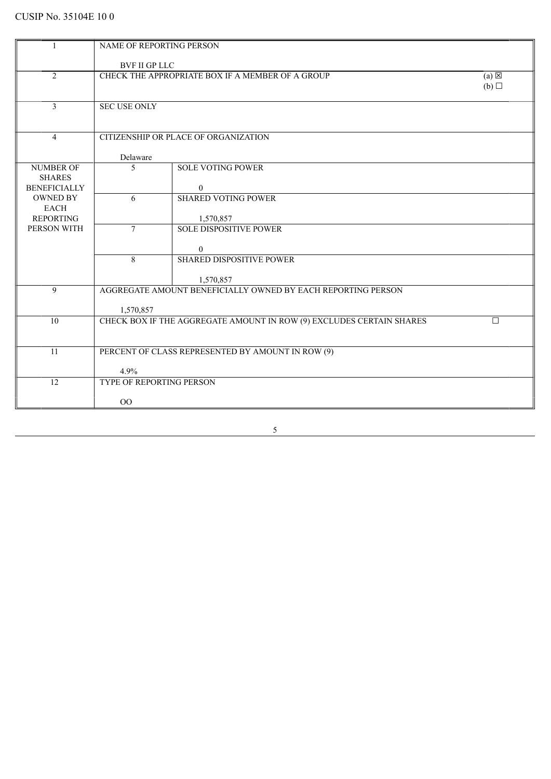| 1                                    | <b>NAME OF REPORTING PERSON</b>                                     |                                                                      |     |  |
|--------------------------------------|---------------------------------------------------------------------|----------------------------------------------------------------------|-----|--|
|                                      |                                                                     |                                                                      |     |  |
|                                      | <b>BVF II GP LLC</b>                                                |                                                                      |     |  |
| 2                                    | CHECK THE APPROPRIATE BOX IF A MEMBER OF A GROUP<br>$(a) \boxtimes$ |                                                                      |     |  |
|                                      |                                                                     |                                                                      | (b) |  |
|                                      |                                                                     |                                                                      |     |  |
| $\overline{3}$                       | <b>SEC USE ONLY</b>                                                 |                                                                      |     |  |
|                                      |                                                                     |                                                                      |     |  |
| $\overline{4}$                       |                                                                     | CITIZENSHIP OR PLACE OF ORGANIZATION                                 |     |  |
|                                      |                                                                     |                                                                      |     |  |
|                                      | Delaware                                                            |                                                                      |     |  |
| <b>NUMBER OF</b>                     | 5                                                                   | <b>SOLE VOTING POWER</b>                                             |     |  |
| <b>SHARES</b><br><b>BENEFICIALLY</b> |                                                                     | $\overline{0}$                                                       |     |  |
| <b>OWNED BY</b>                      | 6                                                                   | <b>SHARED VOTING POWER</b>                                           |     |  |
| <b>EACH</b>                          |                                                                     |                                                                      |     |  |
| <b>REPORTING</b>                     |                                                                     | 1,570,857                                                            |     |  |
| PERSON WITH                          | $\overline{7}$                                                      | <b>SOLE DISPOSITIVE POWER</b>                                        |     |  |
|                                      |                                                                     |                                                                      |     |  |
|                                      | 8                                                                   | $\boldsymbol{0}$<br><b>SHARED DISPOSITIVE POWER</b>                  |     |  |
|                                      |                                                                     |                                                                      |     |  |
|                                      |                                                                     | 1,570,857                                                            |     |  |
| 9                                    |                                                                     | AGGREGATE AMOUNT BENEFICIALLY OWNED BY EACH REPORTING PERSON         |     |  |
|                                      |                                                                     |                                                                      |     |  |
| 10                                   | 1,570,857                                                           | CHECK BOX IF THE AGGREGATE AMOUNT IN ROW (9) EXCLUDES CERTAIN SHARES | П   |  |
|                                      |                                                                     |                                                                      |     |  |
|                                      |                                                                     |                                                                      |     |  |
| 11                                   |                                                                     | PERCENT OF CLASS REPRESENTED BY AMOUNT IN ROW (9)                    |     |  |
|                                      |                                                                     |                                                                      |     |  |
| $\overline{12}$                      | 4.9%<br><b>TYPE OF REPORTING PERSON</b>                             |                                                                      |     |  |
|                                      |                                                                     |                                                                      |     |  |
|                                      | $\rm OO$                                                            |                                                                      |     |  |
|                                      |                                                                     |                                                                      |     |  |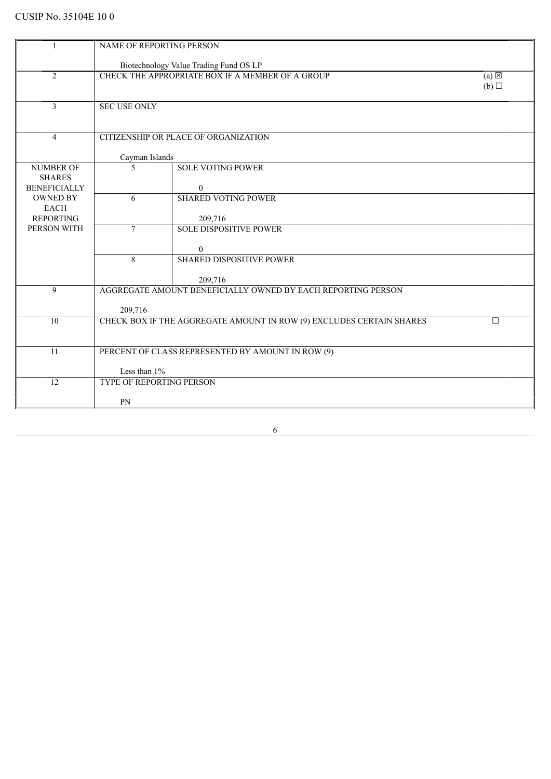|                                   | <b>NAME OF REPORTING PERSON</b>                                            |                                                                      |        |  |
|-----------------------------------|----------------------------------------------------------------------------|----------------------------------------------------------------------|--------|--|
|                                   |                                                                            | Biotechnology Value Trading Fund OS LP                               |        |  |
| $\overline{2}$                    | CHECK THE APPROPRIATE BOX IF A MEMBER OF A GROUP<br>$(a) \boxtimes$<br>(b) |                                                                      |        |  |
|                                   |                                                                            |                                                                      |        |  |
| $\overline{3}$                    | <b>SEC USE ONLY</b>                                                        |                                                                      |        |  |
|                                   |                                                                            |                                                                      |        |  |
| $\overline{4}$                    |                                                                            | CITIZENSHIP OR PLACE OF ORGANIZATION                                 |        |  |
|                                   | Cayman Islands                                                             |                                                                      |        |  |
| <b>NUMBER OF</b><br><b>SHARES</b> | 5                                                                          | <b>SOLE VOTING POWER</b>                                             |        |  |
| <b>BENEFICIALLY</b>               |                                                                            | $\mathbf{0}$                                                         |        |  |
| <b>OWNED BY</b><br><b>EACH</b>    | 6                                                                          | <b>SHARED VOTING POWER</b>                                           |        |  |
| <b>REPORTING</b>                  |                                                                            | 209,716                                                              |        |  |
| PERSON WITH                       | $\tau$                                                                     | <b>SOLE DISPOSITIVE POWER</b>                                        |        |  |
|                                   |                                                                            | $\mathbf{0}$                                                         |        |  |
|                                   | 8                                                                          | <b>SHARED DISPOSITIVE POWER</b>                                      |        |  |
|                                   |                                                                            | 209,716                                                              |        |  |
| 9                                 |                                                                            | AGGREGATE AMOUNT BENEFICIALLY OWNED BY EACH REPORTING PERSON         |        |  |
|                                   | 209,716                                                                    |                                                                      |        |  |
| 10                                |                                                                            | CHECK BOX IF THE AGGREGATE AMOUNT IN ROW (9) EXCLUDES CERTAIN SHARES | $\Box$ |  |
|                                   |                                                                            |                                                                      |        |  |
| 11                                |                                                                            | PERCENT OF CLASS REPRESENTED BY AMOUNT IN ROW (9)                    |        |  |
|                                   | Less than 1%                                                               |                                                                      |        |  |
| 12                                | TYPE OF REPORTING PERSON                                                   |                                                                      |        |  |
|                                   | PN                                                                         |                                                                      |        |  |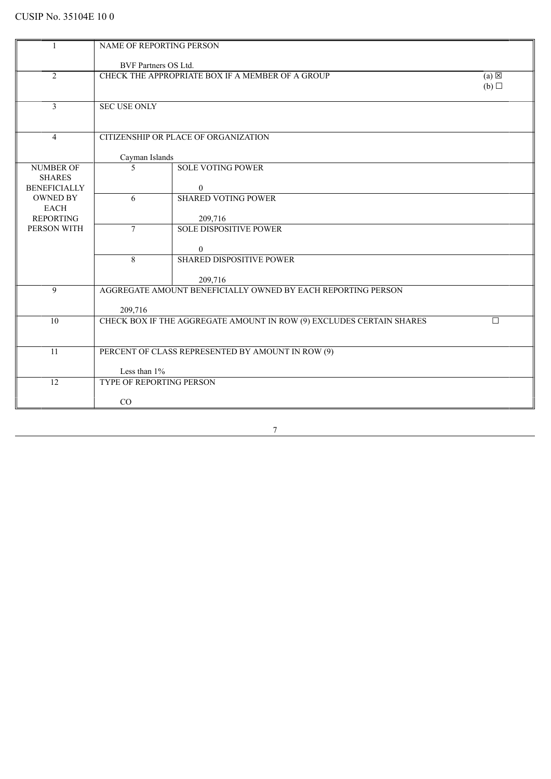|                                   | NAME OF REPORTING PERSON                                                   |                                                                      |        |
|-----------------------------------|----------------------------------------------------------------------------|----------------------------------------------------------------------|--------|
|                                   | BVF Partners OS Ltd.                                                       |                                                                      |        |
| $\overline{2}$                    | CHECK THE APPROPRIATE BOX IF A MEMBER OF A GROUP<br>$(a) \boxtimes$<br>(b) |                                                                      |        |
|                                   |                                                                            |                                                                      |        |
| $\overline{3}$                    | <b>SEC USE ONLY</b>                                                        |                                                                      |        |
|                                   |                                                                            |                                                                      |        |
| $\overline{4}$                    |                                                                            | CITIZENSHIP OR PLACE OF ORGANIZATION                                 |        |
|                                   | Cayman Islands                                                             |                                                                      |        |
| <b>NUMBER OF</b><br><b>SHARES</b> | 5                                                                          | <b>SOLE VOTING POWER</b>                                             |        |
| <b>BENEFICIALLY</b>               |                                                                            | $\overline{0}$                                                       |        |
| <b>OWNED BY</b>                   | 6                                                                          | <b>SHARED VOTING POWER</b>                                           |        |
| EACH<br><b>REPORTING</b>          |                                                                            | 209,716                                                              |        |
| PERSON WITH                       | $\tau$                                                                     | <b>SOLE DISPOSITIVE POWER</b>                                        |        |
|                                   |                                                                            | $\mathbf{0}$                                                         |        |
|                                   | 8                                                                          | <b>SHARED DISPOSITIVE POWER</b>                                      |        |
|                                   |                                                                            | 209,716                                                              |        |
| 9                                 |                                                                            | AGGREGATE AMOUNT BENEFICIALLY OWNED BY EACH REPORTING PERSON         |        |
|                                   | 209,716                                                                    |                                                                      |        |
| 10                                |                                                                            | CHECK BOX IF THE AGGREGATE AMOUNT IN ROW (9) EXCLUDES CERTAIN SHARES | $\Box$ |
|                                   |                                                                            |                                                                      |        |
| 11                                | PERCENT OF CLASS REPRESENTED BY AMOUNT IN ROW (9)                          |                                                                      |        |
|                                   | Less than 1%                                                               |                                                                      |        |
| 12                                | TYPE OF REPORTING PERSON                                                   |                                                                      |        |
|                                   | CO                                                                         |                                                                      |        |
|                                   |                                                                            |                                                                      |        |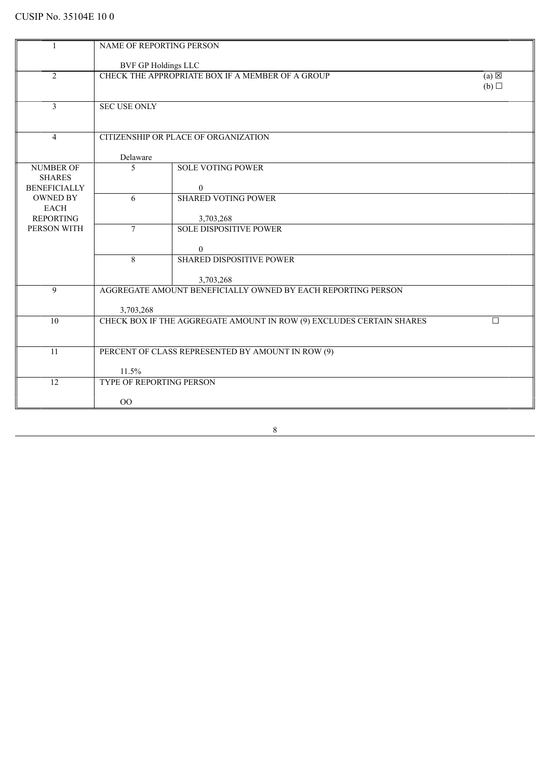| <b>BVF GP Holdings LLC</b><br>$\overline{2}$<br>CHECK THE APPROPRIATE BOX IF A MEMBER OF A GROUP<br>$(a) \boxtimes$<br>$(b)$ $\square$<br>$\overline{3}$<br><b>SEC USE ONLY</b><br>$\overline{4}$<br>CITIZENSHIP OR PLACE OF ORGANIZATION<br>Delaware<br><b>NUMBER OF</b><br>5<br><b>SOLE VOTING POWER</b><br><b>SHARES</b><br><b>BENEFICIALLY</b><br>$\overline{0}$<br><b>OWNED BY</b><br><b>SHARED VOTING POWER</b><br>6<br><b>EACH</b><br><b>REPORTING</b><br>3,703,268<br>PERSON WITH<br>$\tau$<br><b>SOLE DISPOSITIVE POWER</b><br>$\mathbf{0}$<br>8<br>SHARED DISPOSITIVE POWER<br>3,703,268<br>AGGREGATE AMOUNT BENEFICIALLY OWNED BY EACH REPORTING PERSON<br>9<br>3,703,268<br>CHECK BOX IF THE AGGREGATE AMOUNT IN ROW (9) EXCLUDES CERTAIN SHARES<br>10<br>$\Box$<br>PERCENT OF CLASS REPRESENTED BY AMOUNT IN ROW (9)<br>11<br>11.5%<br>12<br>TYPE OF REPORTING PERSON | NAME OF REPORTING PERSON |  |  |  |
|------------------------------------------------------------------------------------------------------------------------------------------------------------------------------------------------------------------------------------------------------------------------------------------------------------------------------------------------------------------------------------------------------------------------------------------------------------------------------------------------------------------------------------------------------------------------------------------------------------------------------------------------------------------------------------------------------------------------------------------------------------------------------------------------------------------------------------------------------------------------------------|--------------------------|--|--|--|
|                                                                                                                                                                                                                                                                                                                                                                                                                                                                                                                                                                                                                                                                                                                                                                                                                                                                                    |                          |  |  |  |
|                                                                                                                                                                                                                                                                                                                                                                                                                                                                                                                                                                                                                                                                                                                                                                                                                                                                                    |                          |  |  |  |
|                                                                                                                                                                                                                                                                                                                                                                                                                                                                                                                                                                                                                                                                                                                                                                                                                                                                                    |                          |  |  |  |
|                                                                                                                                                                                                                                                                                                                                                                                                                                                                                                                                                                                                                                                                                                                                                                                                                                                                                    |                          |  |  |  |
|                                                                                                                                                                                                                                                                                                                                                                                                                                                                                                                                                                                                                                                                                                                                                                                                                                                                                    |                          |  |  |  |
|                                                                                                                                                                                                                                                                                                                                                                                                                                                                                                                                                                                                                                                                                                                                                                                                                                                                                    |                          |  |  |  |
|                                                                                                                                                                                                                                                                                                                                                                                                                                                                                                                                                                                                                                                                                                                                                                                                                                                                                    |                          |  |  |  |
|                                                                                                                                                                                                                                                                                                                                                                                                                                                                                                                                                                                                                                                                                                                                                                                                                                                                                    |                          |  |  |  |
|                                                                                                                                                                                                                                                                                                                                                                                                                                                                                                                                                                                                                                                                                                                                                                                                                                                                                    |                          |  |  |  |
|                                                                                                                                                                                                                                                                                                                                                                                                                                                                                                                                                                                                                                                                                                                                                                                                                                                                                    |                          |  |  |  |
|                                                                                                                                                                                                                                                                                                                                                                                                                                                                                                                                                                                                                                                                                                                                                                                                                                                                                    |                          |  |  |  |
|                                                                                                                                                                                                                                                                                                                                                                                                                                                                                                                                                                                                                                                                                                                                                                                                                                                                                    |                          |  |  |  |
|                                                                                                                                                                                                                                                                                                                                                                                                                                                                                                                                                                                                                                                                                                                                                                                                                                                                                    |                          |  |  |  |
|                                                                                                                                                                                                                                                                                                                                                                                                                                                                                                                                                                                                                                                                                                                                                                                                                                                                                    |                          |  |  |  |
|                                                                                                                                                                                                                                                                                                                                                                                                                                                                                                                                                                                                                                                                                                                                                                                                                                                                                    |                          |  |  |  |
|                                                                                                                                                                                                                                                                                                                                                                                                                                                                                                                                                                                                                                                                                                                                                                                                                                                                                    |                          |  |  |  |
|                                                                                                                                                                                                                                                                                                                                                                                                                                                                                                                                                                                                                                                                                                                                                                                                                                                                                    |                          |  |  |  |
|                                                                                                                                                                                                                                                                                                                                                                                                                                                                                                                                                                                                                                                                                                                                                                                                                                                                                    |                          |  |  |  |
|                                                                                                                                                                                                                                                                                                                                                                                                                                                                                                                                                                                                                                                                                                                                                                                                                                                                                    |                          |  |  |  |
|                                                                                                                                                                                                                                                                                                                                                                                                                                                                                                                                                                                                                                                                                                                                                                                                                                                                                    |                          |  |  |  |
|                                                                                                                                                                                                                                                                                                                                                                                                                                                                                                                                                                                                                                                                                                                                                                                                                                                                                    |                          |  |  |  |
|                                                                                                                                                                                                                                                                                                                                                                                                                                                                                                                                                                                                                                                                                                                                                                                                                                                                                    |                          |  |  |  |
|                                                                                                                                                                                                                                                                                                                                                                                                                                                                                                                                                                                                                                                                                                                                                                                                                                                                                    |                          |  |  |  |
|                                                                                                                                                                                                                                                                                                                                                                                                                                                                                                                                                                                                                                                                                                                                                                                                                                                                                    |                          |  |  |  |
| $00\,$                                                                                                                                                                                                                                                                                                                                                                                                                                                                                                                                                                                                                                                                                                                                                                                                                                                                             |                          |  |  |  |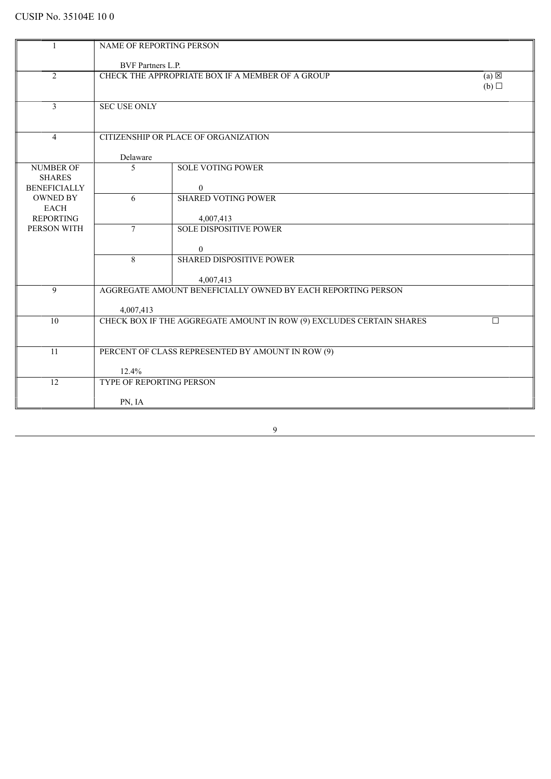|                                   | NAME OF REPORTING PERSON |                                                                      |        |  |  |
|-----------------------------------|--------------------------|----------------------------------------------------------------------|--------|--|--|
|                                   | BVF Partners L.P.        |                                                                      |        |  |  |
| $\overline{2}$                    |                          | CHECK THE APPROPRIATE BOX IF A MEMBER OF A GROUP<br>$(a) \boxtimes$  |        |  |  |
|                                   |                          |                                                                      | (b)    |  |  |
| 3                                 | <b>SEC USE ONLY</b>      |                                                                      |        |  |  |
|                                   |                          |                                                                      |        |  |  |
| $\overline{4}$                    |                          | CITIZENSHIP OR PLACE OF ORGANIZATION                                 |        |  |  |
|                                   | Delaware                 |                                                                      |        |  |  |
| <b>NUMBER OF</b><br><b>SHARES</b> | 5                        | <b>SOLE VOTING POWER</b>                                             |        |  |  |
| <b>BENEFICIALLY</b>               |                          | $\overline{0}$                                                       |        |  |  |
| <b>OWNED BY</b><br>EACH           | 6                        | <b>SHARED VOTING POWER</b>                                           |        |  |  |
| <b>REPORTING</b>                  |                          | 4,007,413                                                            |        |  |  |
| PERSON WITH                       | $\overline{7}$           | <b>SOLE DISPOSITIVE POWER</b>                                        |        |  |  |
|                                   |                          | $\overline{0}$                                                       |        |  |  |
|                                   | 8                        | <b>SHARED DISPOSITIVE POWER</b>                                      |        |  |  |
|                                   |                          | 4,007,413                                                            |        |  |  |
| 9                                 |                          | AGGREGATE AMOUNT BENEFICIALLY OWNED BY EACH REPORTING PERSON         |        |  |  |
|                                   | 4,007,413                |                                                                      |        |  |  |
| 10                                |                          | CHECK BOX IF THE AGGREGATE AMOUNT IN ROW (9) EXCLUDES CERTAIN SHARES | $\Box$ |  |  |
|                                   |                          |                                                                      |        |  |  |
| 11                                |                          | PERCENT OF CLASS REPRESENTED BY AMOUNT IN ROW (9)                    |        |  |  |
|                                   | 12.4%                    |                                                                      |        |  |  |
| 12                                | TYPE OF REPORTING PERSON |                                                                      |        |  |  |
|                                   | PN, IA                   |                                                                      |        |  |  |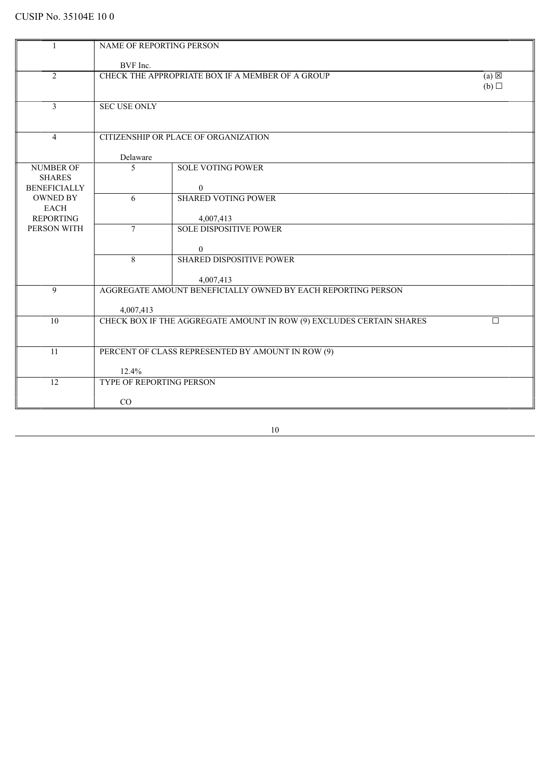|                                        | NAME OF REPORTING PERSON                         |                                                                      |                 |
|----------------------------------------|--------------------------------------------------|----------------------------------------------------------------------|-----------------|
|                                        |                                                  |                                                                      |                 |
|                                        | BVF Inc.                                         |                                                                      | $(a) \boxtimes$ |
| $\overline{2}$                         | CHECK THE APPROPRIATE BOX IF A MEMBER OF A GROUP |                                                                      |                 |
|                                        |                                                  |                                                                      | (b)             |
| 3                                      | <b>SEC USE ONLY</b>                              |                                                                      |                 |
|                                        |                                                  |                                                                      |                 |
|                                        |                                                  |                                                                      |                 |
| $\overline{4}$                         |                                                  | CITIZENSHIP OR PLACE OF ORGANIZATION                                 |                 |
|                                        | Delaware                                         |                                                                      |                 |
| <b>NUMBER OF</b>                       | 5                                                | <b>SOLE VOTING POWER</b>                                             |                 |
| <b>SHARES</b>                          |                                                  |                                                                      |                 |
| <b>BENEFICIALLY</b><br><b>OWNED BY</b> | 6                                                | $\boldsymbol{0}$<br><b>SHARED VOTING POWER</b>                       |                 |
| <b>EACH</b>                            |                                                  |                                                                      |                 |
| <b>REPORTING</b>                       |                                                  | 4,007,413                                                            |                 |
| PERSON WITH                            | $\overline{7}$                                   | <b>SOLE DISPOSITIVE POWER</b>                                        |                 |
|                                        |                                                  | $\mathbf{0}$                                                         |                 |
|                                        | 8                                                | <b>SHARED DISPOSITIVE POWER</b>                                      |                 |
|                                        |                                                  |                                                                      |                 |
|                                        |                                                  | 4,007,413                                                            |                 |
| $\mathbf Q$                            |                                                  | AGGREGATE AMOUNT BENEFICIALLY OWNED BY EACH REPORTING PERSON         |                 |
|                                        | 4,007,413                                        |                                                                      |                 |
| 10                                     |                                                  | CHECK BOX IF THE AGGREGATE AMOUNT IN ROW (9) EXCLUDES CERTAIN SHARES | $\Box$          |
|                                        |                                                  |                                                                      |                 |
| 11                                     |                                                  | PERCENT OF CLASS REPRESENTED BY AMOUNT IN ROW (9)                    |                 |
|                                        |                                                  |                                                                      |                 |
|                                        | 12.4%                                            |                                                                      |                 |
| 12                                     | <b>TYPE OF REPORTING PERSON</b>                  |                                                                      |                 |
|                                        | CO                                               |                                                                      |                 |
|                                        |                                                  |                                                                      |                 |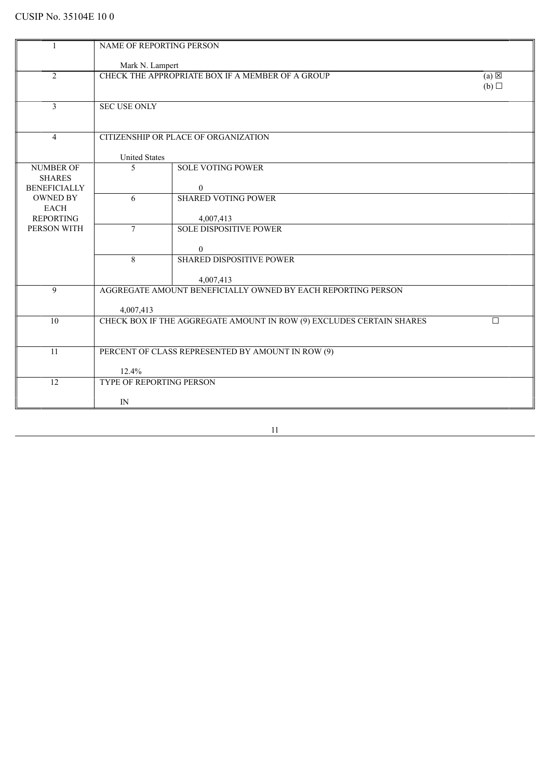|                                   | NAME OF REPORTING PERSON                                            |                                                                      |     |  |
|-----------------------------------|---------------------------------------------------------------------|----------------------------------------------------------------------|-----|--|
|                                   |                                                                     | Mark N. Lampert                                                      |     |  |
| $\overline{2}$                    | CHECK THE APPROPRIATE BOX IF A MEMBER OF A GROUP<br>$(a) \boxtimes$ |                                                                      |     |  |
|                                   |                                                                     |                                                                      | (b) |  |
| 3                                 | <b>SEC USE ONLY</b>                                                 |                                                                      |     |  |
|                                   |                                                                     |                                                                      |     |  |
| $\overline{4}$                    |                                                                     | CITIZENSHIP OR PLACE OF ORGANIZATION                                 |     |  |
|                                   |                                                                     |                                                                      |     |  |
|                                   | <b>United States</b>                                                |                                                                      |     |  |
| <b>NUMBER OF</b><br><b>SHARES</b> | 5                                                                   | <b>SOLE VOTING POWER</b>                                             |     |  |
| <b>BENEFICIALLY</b>               |                                                                     | $\overline{0}$                                                       |     |  |
| <b>OWNED BY</b><br><b>EACH</b>    | 6                                                                   | <b>SHARED VOTING POWER</b>                                           |     |  |
| <b>REPORTING</b>                  |                                                                     | 4,007,413                                                            |     |  |
| PERSON WITH                       | $\overline{7}$                                                      | <b>SOLE DISPOSITIVE POWER</b>                                        |     |  |
|                                   |                                                                     | $\overline{0}$                                                       |     |  |
|                                   | 8                                                                   | <b>SHARED DISPOSITIVE POWER</b>                                      |     |  |
|                                   |                                                                     | 4,007,413                                                            |     |  |
| 9                                 |                                                                     | AGGREGATE AMOUNT BENEFICIALLY OWNED BY EACH REPORTING PERSON         |     |  |
|                                   | 4,007,413                                                           |                                                                      |     |  |
| 10                                |                                                                     | CHECK BOX IF THE AGGREGATE AMOUNT IN ROW (9) EXCLUDES CERTAIN SHARES | П   |  |
|                                   |                                                                     |                                                                      |     |  |
| 11                                | PERCENT OF CLASS REPRESENTED BY AMOUNT IN ROW (9)                   |                                                                      |     |  |
|                                   |                                                                     |                                                                      |     |  |
| 12                                | 12.4%<br><b>TYPE OF REPORTING PERSON</b>                            |                                                                      |     |  |
|                                   |                                                                     |                                                                      |     |  |
|                                   | IN                                                                  |                                                                      |     |  |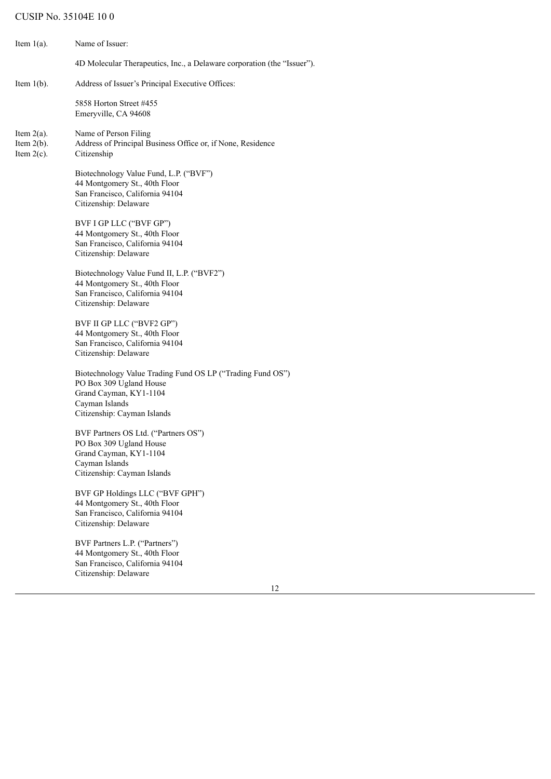| Item $1(a)$ .                                   | Name of Issuer:                                                                                                                                                  |
|-------------------------------------------------|------------------------------------------------------------------------------------------------------------------------------------------------------------------|
|                                                 | 4D Molecular Therapeutics, Inc., a Delaware corporation (the "Issuer").                                                                                          |
| Item $1(b)$ .                                   | Address of Issuer's Principal Executive Offices:                                                                                                                 |
|                                                 | 5858 Horton Street #455<br>Emeryville, CA 94608                                                                                                                  |
| Item $2(a)$ .<br>Item $2(b)$ .<br>Item $2(c)$ . | Name of Person Filing<br>Address of Principal Business Office or, if None, Residence<br>Citizenship                                                              |
|                                                 | Biotechnology Value Fund, L.P. ("BVF")<br>44 Montgomery St., 40th Floor<br>San Francisco, California 94104<br>Citizenship: Delaware                              |
|                                                 | BVF I GP LLC ("BVF GP")<br>44 Montgomery St., 40th Floor<br>San Francisco, California 94104<br>Citizenship: Delaware                                             |
|                                                 | Biotechnology Value Fund II, L.P. ("BVF2")<br>44 Montgomery St., 40th Floor<br>San Francisco, California 94104<br>Citizenship: Delaware                          |
|                                                 | BVF II GP LLC ("BVF2 GP")<br>44 Montgomery St., 40th Floor<br>San Francisco, California 94104<br>Citizenship: Delaware                                           |
|                                                 | Biotechnology Value Trading Fund OS LP ("Trading Fund OS")<br>PO Box 309 Ugland House<br>Grand Cayman, KY1-1104<br>Cayman Islands<br>Citizenship: Cayman Islands |
|                                                 | BVF Partners OS Ltd. ("Partners OS")<br>PO Box 309 Ugland House<br>Grand Cayman, KY1-1104<br>Cayman Islands<br>Citizenship: Cayman Islands                       |
|                                                 | BVF GP Holdings LLC ("BVF GPH")<br>44 Montgomery St., 40th Floor<br>San Francisco, California 94104<br>Citizenship: Delaware                                     |
|                                                 | BVF Partners L.P. ("Partners")<br>44 Montgomery St., 40th Floor<br>San Francisco, California 94104<br>Citizenship: Delaware                                      |
|                                                 | 12                                                                                                                                                               |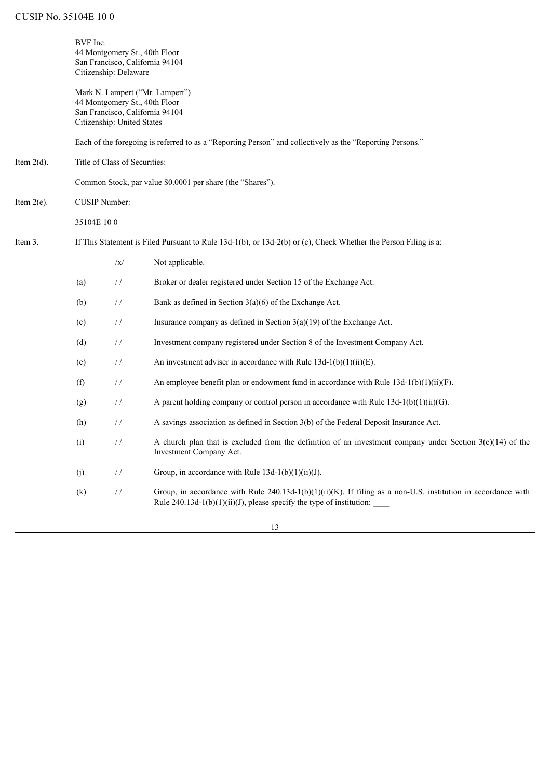|               | BVF Inc.<br>44 Montgomery St., 40th Floor<br>San Francisco, California 94104<br>Citizenship: Delaware |                                                                                                |                                                                                                                                                                                             |  |  |
|---------------|-------------------------------------------------------------------------------------------------------|------------------------------------------------------------------------------------------------|---------------------------------------------------------------------------------------------------------------------------------------------------------------------------------------------|--|--|
|               |                                                                                                       | 44 Montgomery St., 40th Floor<br>San Francisco, California 94104<br>Citizenship: United States | Mark N. Lampert ("Mr. Lampert")                                                                                                                                                             |  |  |
|               |                                                                                                       |                                                                                                | Each of the foregoing is referred to as a "Reporting Person" and collectively as the "Reporting Persons."                                                                                   |  |  |
| Item $2(d)$ . |                                                                                                       | Title of Class of Securities:                                                                  |                                                                                                                                                                                             |  |  |
|               |                                                                                                       |                                                                                                | Common Stock, par value \$0.0001 per share (the "Shares").                                                                                                                                  |  |  |
| Item $2(e)$ . | <b>CUSIP Number:</b>                                                                                  |                                                                                                |                                                                                                                                                                                             |  |  |
|               | 35104E 100                                                                                            |                                                                                                |                                                                                                                                                                                             |  |  |
| Item 3.       |                                                                                                       |                                                                                                | If This Statement is Filed Pursuant to Rule $13d-1(b)$ , or $13d-2(b)$ or (c), Check Whether the Person Filing is a:                                                                        |  |  |
|               |                                                                                                       | $\sqrt{x}$                                                                                     | Not applicable.                                                                                                                                                                             |  |  |
|               | (a)                                                                                                   | $\frac{1}{2}$                                                                                  | Broker or dealer registered under Section 15 of the Exchange Act.                                                                                                                           |  |  |
|               | (b)                                                                                                   | $\frac{1}{2}$                                                                                  | Bank as defined in Section $3(a)(6)$ of the Exchange Act.                                                                                                                                   |  |  |
|               | (c)                                                                                                   | $\frac{1}{2}$                                                                                  | Insurance company as defined in Section $3(a)(19)$ of the Exchange Act.                                                                                                                     |  |  |
|               | (d)                                                                                                   | $\frac{1}{2}$                                                                                  | Investment company registered under Section 8 of the Investment Company Act.                                                                                                                |  |  |
|               | (e)                                                                                                   | $\frac{1}{2}$                                                                                  | An investment adviser in accordance with Rule $13d-1(b)(1)(ii)(E)$ .                                                                                                                        |  |  |
|               | (f)                                                                                                   | $\frac{1}{2}$                                                                                  | An employee benefit plan or endowment fund in accordance with Rule $13d-1(b)(1)(ii)(F)$ .                                                                                                   |  |  |
|               | (g)                                                                                                   | $\frac{1}{2}$                                                                                  | A parent holding company or control person in accordance with Rule $13d-1(b)(1)(ii)(G)$ .                                                                                                   |  |  |
|               | (h)                                                                                                   | $\frac{1}{2}$                                                                                  | A savings association as defined in Section 3(b) of the Federal Deposit Insurance Act.                                                                                                      |  |  |
|               | (i)                                                                                                   | $\frac{1}{2}$                                                                                  | A church plan that is excluded from the definition of an investment company under Section $3(c)(14)$ of the<br>Investment Company Act.                                                      |  |  |
|               | (j)                                                                                                   | $\frac{1}{2}$                                                                                  | Group, in accordance with Rule $13d-1(b)(1)(ii)(J)$ .                                                                                                                                       |  |  |
|               | (k)                                                                                                   | $\frac{1}{2}$                                                                                  | Group, in accordance with Rule $240.13d-1(b)(1)(ii)(K)$ . If filing as a non-U.S. institution in accordance with<br>Rule $240.13d-1(b)(1)(ii)(J)$ , please specify the type of institution: |  |  |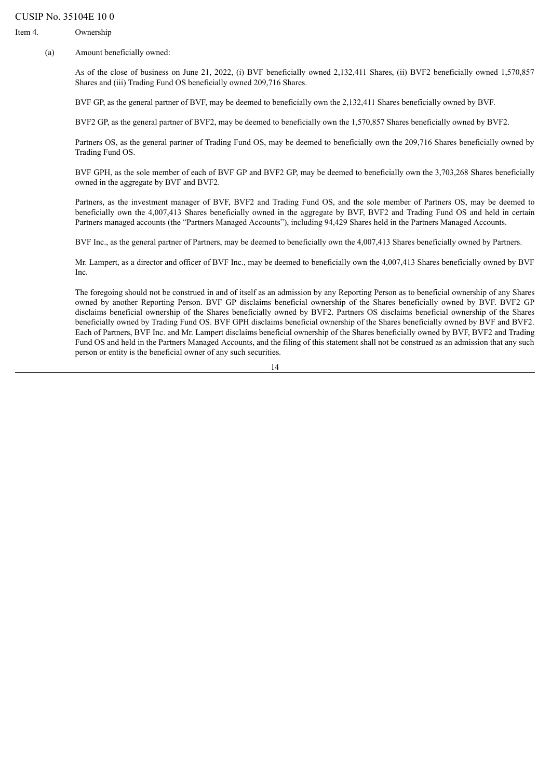Item 4. Ownership

(a) Amount beneficially owned:

As of the close of business on June 21, 2022, (i) BVF beneficially owned 2,132,411 Shares, (ii) BVF2 beneficially owned 1,570,857 Shares and (iii) Trading Fund OS beneficially owned 209,716 Shares.

BVF GP, as the general partner of BVF, may be deemed to beneficially own the 2,132,411 Shares beneficially owned by BVF.

BVF2 GP, as the general partner of BVF2, may be deemed to beneficially own the 1,570,857 Shares beneficially owned by BVF2.

Partners OS, as the general partner of Trading Fund OS, may be deemed to beneficially own the 209,716 Shares beneficially owned by Trading Fund OS.

BVF GPH, as the sole member of each of BVF GP and BVF2 GP, may be deemed to beneficially own the 3,703,268 Shares beneficially owned in the aggregate by BVF and BVF2.

Partners, as the investment manager of BVF, BVF2 and Trading Fund OS, and the sole member of Partners OS, may be deemed to beneficially own the 4,007,413 Shares beneficially owned in the aggregate by BVF, BVF2 and Trading Fund OS and held in certain Partners managed accounts (the "Partners Managed Accounts"), including 94,429 Shares held in the Partners Managed Accounts.

BVF Inc., as the general partner of Partners, may be deemed to beneficially own the 4,007,413 Shares beneficially owned by Partners.

Mr. Lampert, as a director and officer of BVF Inc., may be deemed to beneficially own the 4,007,413 Shares beneficially owned by BVF Inc.

The foregoing should not be construed in and of itself as an admission by any Reporting Person as to beneficial ownership of any Shares owned by another Reporting Person. BVF GP disclaims beneficial ownership of the Shares beneficially owned by BVF. BVF2 GP disclaims beneficial ownership of the Shares beneficially owned by BVF2. Partners OS disclaims beneficial ownership of the Shares beneficially owned by Trading Fund OS. BVF GPH disclaims beneficial ownership of the Shares beneficially owned by BVF and BVF2. Each of Partners, BVF Inc. and Mr. Lampert disclaims beneficial ownership of the Shares beneficially owned by BVF, BVF2 and Trading Fund OS and held in the Partners Managed Accounts, and the filing of this statement shall not be construed as an admission that any such person or entity is the beneficial owner of any such securities.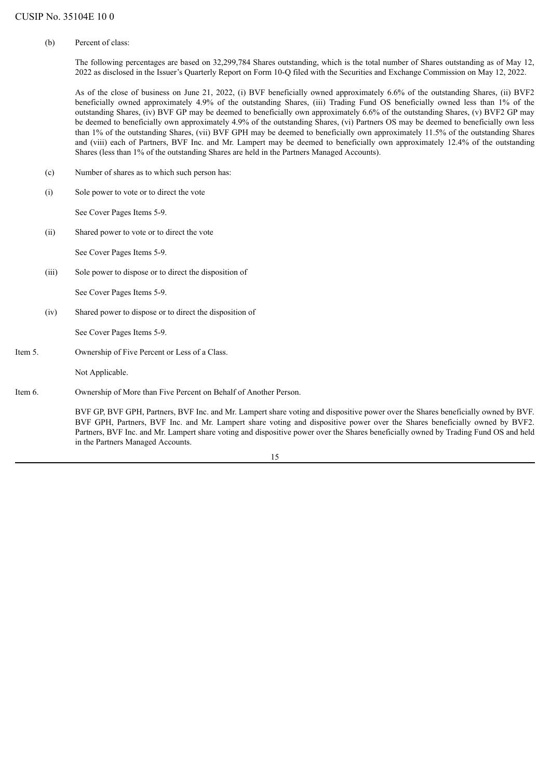(b) Percent of class:

The following percentages are based on 32,299,784 Shares outstanding, which is the total number of Shares outstanding as of May 12, 2022 as disclosed in the Issuer's Quarterly Report on Form 10-Q filed with the Securities and Exchange Commission on May 12, 2022.

As of the close of business on June 21, 2022, (i) BVF beneficially owned approximately 6.6% of the outstanding Shares, (ii) BVF2 beneficially owned approximately 4.9% of the outstanding Shares, (iii) Trading Fund OS beneficially owned less than 1% of the outstanding Shares, (iv) BVF GP may be deemed to beneficially own approximately 6.6% of the outstanding Shares, (v) BVF2 GP may be deemed to beneficially own approximately 4.9% of the outstanding Shares, (vi) Partners OS may be deemed to beneficially own less than 1% of the outstanding Shares, (vii) BVF GPH may be deemed to beneficially own approximately 11.5% of the outstanding Shares and (viii) each of Partners, BVF Inc. and Mr. Lampert may be deemed to beneficially own approximately 12.4% of the outstanding Shares (less than 1% of the outstanding Shares are held in the Partners Managed Accounts).

- (c) Number of shares as to which such person has:
- (i) Sole power to vote or to direct the vote

See Cover Pages Items 5-9.

(ii) Shared power to vote or to direct the vote

See Cover Pages Items 5-9.

(iii) Sole power to dispose or to direct the disposition of

See Cover Pages Items 5-9.

(iv) Shared power to dispose or to direct the disposition of

See Cover Pages Items 5-9.

Item 5. Ownership of Five Percent or Less of a Class.

Not Applicable.

Item 6. Ownership of More than Five Percent on Behalf of Another Person.

BVF GP, BVF GPH, Partners, BVF Inc. and Mr. Lampert share voting and dispositive power over the Shares beneficially owned by BVF. BVF GPH, Partners, BVF Inc. and Mr. Lampert share voting and dispositive power over the Shares beneficially owned by BVF2. Partners, BVF Inc. and Mr. Lampert share voting and dispositive power over the Shares beneficially owned by Trading Fund OS and held in the Partners Managed Accounts.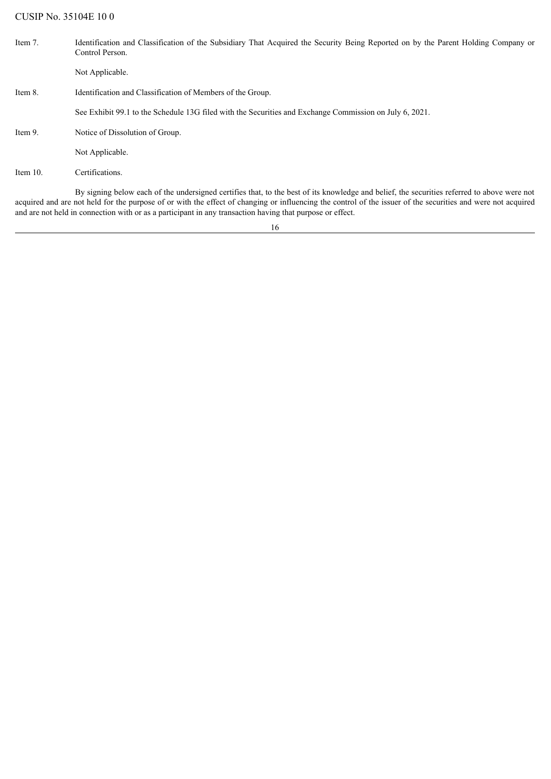| Item 7.     | Identification and Classification of the Subsidiary That Acquired the Security Being Reported on by the Parent Holding Company or<br>Control Person. |
|-------------|------------------------------------------------------------------------------------------------------------------------------------------------------|
|             | Not Applicable.                                                                                                                                      |
| Item 8.     | Identification and Classification of Members of the Group.                                                                                           |
|             | See Exhibit 99.1 to the Schedule 13G filed with the Securities and Exchange Commission on July 6, 2021.                                              |
| Item 9.     | Notice of Dissolution of Group.                                                                                                                      |
|             | Not Applicable.                                                                                                                                      |
| Item $10$ . | Certifications.                                                                                                                                      |
|             | By signing below each of the undersigned certifies that, to the best of its knowledge and belief, the securities referred to above were not          |

16

acquired and are not held for the purpose of or with the effect of changing or influencing the control of the issuer of the securities and were not acquired

and are not held in connection with or as a participant in any transaction having that purpose or effect.